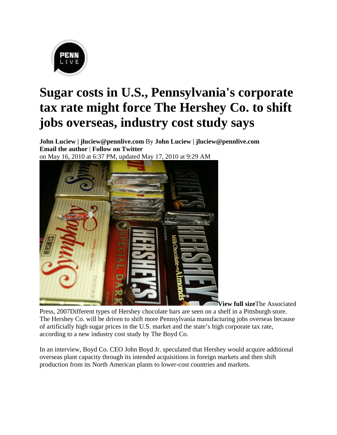

## **Sugar costs in U.S., Pennsylvania's corporate tax rate might force The Hershey Co. to shift jobs overseas, industry cost study says**

**John Luciew | jluciew@pennlive.com** By **John Luciew | jluciew@pennlive.com Email the author** | **Follow on Twitter** on May 16, 2010 at 6:37 PM, updated May 17, 2010 at 9:29 AM



**View full size**The Associated

Press, 2007Different types of Hershey chocolate bars are seen on a shelf in a Pittsburgh store. The Hershey Co. will be driven to shift more Pennsylvania manufacturing jobs overseas because of artificially high sugar prices in the U.S. market and the state's high corporate tax rate, according to a new industry cost study by The Boyd Co.

In an interview, Boyd Co. CEO John Boyd Jr. speculated that Hershey would acquire additional overseas plant capacity through its intended acquisitions in foreign markets and then shift production from its North American plants to lower-cost countries and markets.